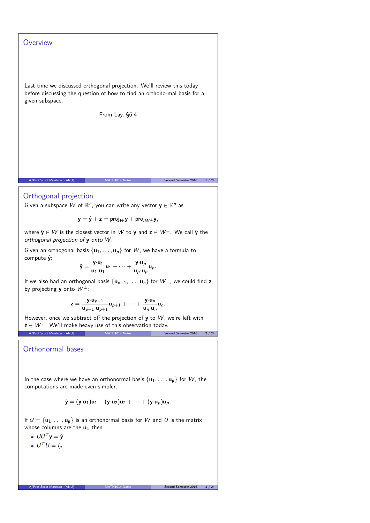# **Overview**

Last time we discussed orthogonal projection. We'll review this today before discussing the question of how to find an orthonormal basis for a given subspace.

From Lay, §6.4

#### Orthogonal projection

Given a subspace  $W$  of  $\mathbb{R}^n$ , you can write any vector  $\mathbf{y} \in \mathbb{R}^n$  as

$$
\mathbf{y} = \hat{\mathbf{y}} + \mathbf{z} = \text{proj}_W \mathbf{y} + \text{proj}_{W^{\perp}} \mathbf{y},
$$

A/Prof Scott Morrison (ANU) MATH1014 Notes Second Semester 2016 1/24

where  $\hat{\mathbf{y}} \in W$  is the closest vector in W to  $\mathbf{y}$  and  $\mathbf{z} \in W^{\perp}$ . We call  $\hat{\mathbf{y}}$  the orthogonal projection of **y** onto W .

Given an orthogonal basis  $\{u_1, \ldots, u_p\}$  for W, we have a formula to compute **y**ˆ:

$$
\hat{\mathbf{y}} = \frac{\mathbf{y} \cdot \mathbf{u}_1}{\mathbf{u}_1 \cdot \mathbf{u}_1} \mathbf{u}_1 + \dots + \frac{\mathbf{y} \cdot \mathbf{u}_p}{\mathbf{u}_p \cdot \mathbf{u}_p} \mathbf{u}_p.
$$

If we also had an orthogonal basis  $\{u_{p+1}, \ldots, u_n\}$  for  $W^{\perp}$ , we could find **z** by projecting **y** onto  $W^{\perp}$ :

$$
\mathbf{z} = \frac{\mathbf{y} \cdot \mathbf{u}_{p+1}}{\mathbf{u}_{p+1} \cdot \mathbf{u}_{p+1}} \mathbf{u}_{p+1} + \cdots + \frac{\mathbf{y} \cdot \mathbf{u}_n}{\mathbf{u}_n \cdot \mathbf{u}_n} \mathbf{u}_n.
$$

However, once we subtract off the projection of **y** to W, we're left with  $z \in W^{\perp}$ . We'll make heavy use of this observation today.<br>A Prof Scott Morrison (ANU) A/Prof Scott Morrison (ANU) MATH1014 Notes Second Semester 2016 2 / 24

Orthonormal bases

In the case where we have an orthonormal basis  $\{u_1, \ldots, u_p\}$  for W, the computations are made even simpler:

$$
\hat{\mathbf{y}} = (\mathbf{y} \cdot \mathbf{u}_1) \mathbf{u}_1 + (\mathbf{y} \cdot \mathbf{u}_2) \mathbf{u}_2 + \cdots + (\mathbf{y} \cdot \mathbf{u}_p) \mathbf{u}_p.
$$

If  $\mathcal{U} = {\mathbf{u_1}, \dots, \mathbf{u_p}}$  is an orthonormal basis for W and U is the matrix whose columns are the **u<sup>i</sup>** , then

- $UU^T y = \hat{y}$
- $U^T U = I_p$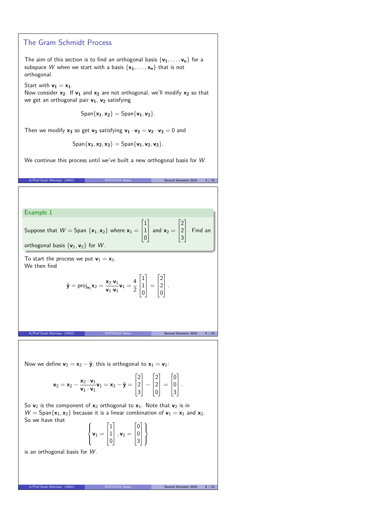## The Gram Schmidt Process

The aim of this section is to find an orthogonal basis  $\{v_1, \ldots, v_n\}$  for a subspace W when we start with a basis  $\{x_1, \ldots, x_n\}$  that is not orthogonal.

Start with  $v_1 = x_1$ .

Now consider **x2**. If **v<sup>1</sup>** and **x<sup>2</sup>** are not orthogonal, we'll modify **x<sup>2</sup>** so that we get an orthogonal pair **v1**, **v<sup>2</sup>** satisfying

 $\text{Span}\{\mathbf{x}_1, \mathbf{x}_2\} = \text{Span}\{\mathbf{v}_1, \mathbf{v}_2\}.$ 

Then we modify  $x_3$  so get  $v_3$  satisfying  $v_1 \cdot v_3 = v_2 \cdot v_3 = 0$  and

 $\text{Span}\{\mathbf{x}_1, \mathbf{x}_2, \mathbf{x}_3\} = \text{Span}\{\mathbf{v}_1, \mathbf{v}_2, \mathbf{v}_3\}.$ 

We continue this process until we've built a new orthogonal basis for W.

| A/Prof Scott Morrison (ANU)                               | MATH1014 Notes                                                                                                                                                                                                                                           | Second Semester 2016<br>4 / 24 |
|-----------------------------------------------------------|----------------------------------------------------------------------------------------------------------------------------------------------------------------------------------------------------------------------------------------------------------|--------------------------------|
|                                                           |                                                                                                                                                                                                                                                          |                                |
| Example 1                                                 |                                                                                                                                                                                                                                                          |                                |
| orthogonal basis $\{v_1, v_2\}$ for W.                    | Suppose that $W =$ Span $\{x_1, x_2\}$ where $x_1 = \begin{bmatrix} 1 \\ 1 \\ 0 \end{bmatrix}$ and $x_2 = \begin{bmatrix} 2 \\ 2 \\ 3 \end{bmatrix}$ . Find an                                                                                           |                                |
| To start the process we put $v_1 = x_1$ .<br>We then find |                                                                                                                                                                                                                                                          |                                |
|                                                           | $\hat{\mathbf{y}} = \text{proj}_{\mathbf{v}_1} \mathbf{x}_2 = \frac{\mathbf{x}_2 \cdot \mathbf{v}_1}{\mathbf{v}_1 \cdot \mathbf{v}_1} \mathbf{v}_1 = \frac{4}{2} \begin{vmatrix} 1 \\ 1 \\ 0 \end{vmatrix} = \begin{vmatrix} 2 \\ 2 \\ 0 \end{vmatrix}.$ |                                |
| A/Prof Scott Morrison<br>(ANU)                            | MATH1014 Notes                                                                                                                                                                                                                                           | Second Semester 2016<br>5 / 24 |
|                                                           |                                                                                                                                                                                                                                                          |                                |

Now we define  $\mathbf{v}_2 = \mathbf{x}_2 - \hat{\mathbf{y}}$ ; this is orthogonal to  $\mathbf{x}_1 = \mathbf{v}_1$ :

$$
\mathbf{v}_2 = \mathbf{x}_2 - \frac{\mathbf{x}_2 \cdot \mathbf{v}_1}{\mathbf{v}_1 \cdot \mathbf{v}_1} \mathbf{v}_1 = \mathbf{x}_2 - \hat{\mathbf{y}} = \begin{bmatrix} 2 \\ 2 \\ 3 \end{bmatrix} - \begin{bmatrix} 2 \\ 2 \\ 0 \end{bmatrix} = \begin{bmatrix} 0 \\ 0 \\ 3 \end{bmatrix}.
$$

So  $v_2$  is the component of  $x_2$  orthogonal to  $x_1$ . Note that  $v_2$  is in  $W = \text{Span}\{\mathbf{x}_1, \mathbf{x}_2\}$  because it is a linear combination of  $\mathbf{v}_1 = \mathbf{x}_1$  and  $\mathbf{x}_2$ . So we have that  $\mathbf{A}$ 

$$
\left\{ \textbf{v}_1 = \begin{bmatrix} 1 \\ 1 \\ 0 \end{bmatrix}, \textbf{v}_2 = \begin{bmatrix} 0 \\ 0 \\ 3 \end{bmatrix} \right\}
$$

is an orthogonal basis for  $W$ .

A/Prof Scott Morrison (ANU) MATH1014 Notes Second Second Second Second Second Second Second Second Second Second Second Second Second Second Second Second Second Second Second Second Second Second Second Second Second Seco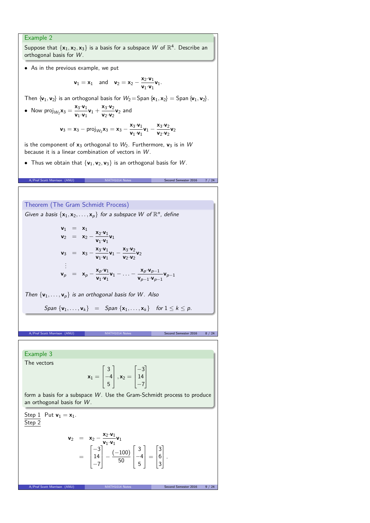# Example 2

Suppose that  $\{x_1, x_2, x_3\}$  is a basis for a subspace  $W$  of  $\mathbb{R}^4$ . Describe an orthogonal basis for W.

• As in the previous example, we put

$$
\mathbf{v}_1 = \mathbf{x}_1
$$
 and  $\mathbf{v}_2 = \mathbf{x}_2 - \frac{\mathbf{x}_2 \cdot \mathbf{v}_1}{\mathbf{v}_1 \cdot \mathbf{v}_1} \mathbf{v}_1.$ 

Then  $\{v_1, v_2\}$  is an orthogonal basis for  $W_2 =$ Span  $\{x_1, x_2\} =$  Span  $\{v_1, v_2\}$ .

• Now proj<sub>*W*2</sub>**x**<sub>3</sub> =  $\frac{x_3 \cdot v_1}{v_1 \cdot v_1}$  $\frac{\mathbf{x}_3 \cdot \mathbf{v}_1}{\mathbf{v}_1 \cdot \mathbf{v}_1} \mathbf{v}_1 + \frac{\mathbf{x}_3 \cdot \mathbf{v}_2}{\mathbf{v}_2 \cdot \mathbf{v}_2}$  $\frac{\mathbf{x}_3 \cdot \mathbf{y}_2}{\mathbf{v}_2 \cdot \mathbf{v}_2} \mathbf{v}_2$  and

$$
\textbf{v}_3=\textbf{x}_3-\text{proj}_{W_2}\textbf{x}_3=\textbf{x}_3-\frac{\textbf{x}_3\cdot\textbf{v}_1}{\textbf{v}_1\cdot\textbf{v}_1}\textbf{v}_1-\frac{\textbf{x}_3\cdot\textbf{v}_2}{\textbf{v}_2\cdot\textbf{v}_2}\textbf{v}_2
$$

A/Prof Scott Morrison (ANU) MATH1014 Notes Second Semester 2016 7 / 24

is the component of  $x_3$  orthogonal to  $W_2$ . Furthermore,  $v_3$  is in W because it is a linear combination of vectors in  $W$ .

• Thus we obtain that  $\{v_1, v_2, v_3\}$  is an orthogonal basis for W.

### Theorem (The Gram Schmidt Process)

Given a basis  $\{x_1, x_2, \ldots, x_p\}$  for a subspace W of  $\mathbb{R}^n$ , define

$$
\begin{array}{rcl}\n\mathbf{v}_1 &=& x_1 \\
\mathbf{v}_2 &=& x_2 - \frac{x_2 \cdot \mathbf{v}_1}{\mathbf{v}_1 \cdot \mathbf{v}_1} \mathbf{v}_1 \\
\mathbf{v}_3 &=& x_3 - \frac{x_3 \cdot \mathbf{v}_1}{\mathbf{v}_1 \cdot \mathbf{v}_1} \mathbf{v}_1 - \frac{x_3 \cdot \mathbf{v}_2}{\mathbf{v}_2} \mathbf{v}_2 \\
&\vdots \\
\mathbf{v}_p &=& x_p - \frac{x_p \cdot \mathbf{v}_1}{\mathbf{v}_1 \cdot \mathbf{v}_1} \mathbf{v}_1 - \ldots - \frac{x_p \cdot \mathbf{v}_{p-1}}{\mathbf{v}_{p-1} \cdot \mathbf{v}_{p-1}} \mathbf{v}_{p-1}\n\end{array}
$$

Then  $\{v_1, \ldots, v_p\}$  is an orthogonal basis for W. Also

$$
Span \{v_1, \ldots, v_k\} = Span \{x_1, \ldots, x_k\} \quad \text{for } 1 \leq k \leq p.
$$

A/Prof Scott Morrison (ANU) MATH1014 Notes Second Semester 2016 8 / 24

Example 3 The vectors

$$
\mathbf{x}_1 = \begin{bmatrix} 3 \\ -4 \\ 5 \end{bmatrix}, \mathbf{x}_2 = \begin{bmatrix} -3 \\ 14 \\ -7 \end{bmatrix}
$$

form a basis for a subspace W. Use the Gram-Schmidt process to produce an orthogonal basis for W.

Step 1 Put  $v_1 = x_1$ . Step 2

$$
\mathbf{v}_2 = \mathbf{x}_2 - \frac{\mathbf{x}_2 \cdot \mathbf{v}_1}{\mathbf{v}_1 \cdot \mathbf{v}_1} \mathbf{v}_1
$$
  
=  $\begin{bmatrix} -3 \\ 14 \\ -7 \end{bmatrix} - \frac{(-100)}{50} \begin{bmatrix} 3 \\ -4 \\ 5 \end{bmatrix} = \begin{bmatrix} 3 \\ 6 \\ 3 \end{bmatrix}.$ 

A/Prof Scott Morrison (ANU) MATH1014 Notes Second Semester 2016 9 /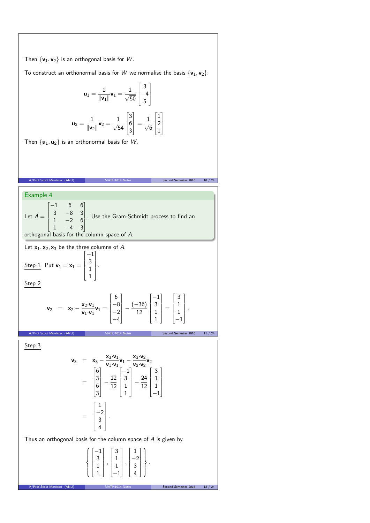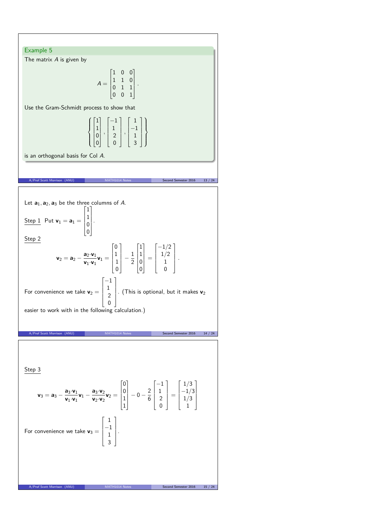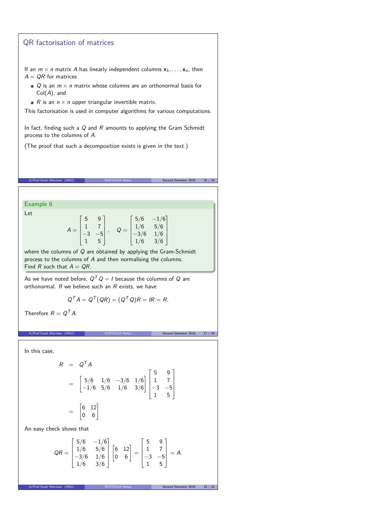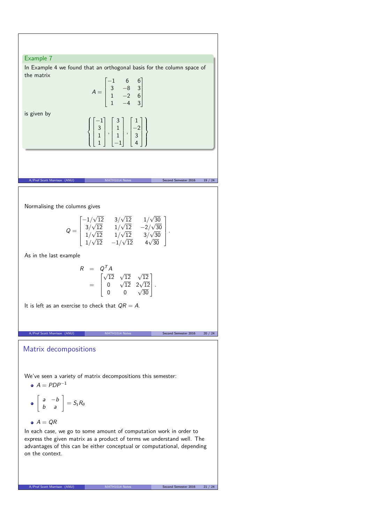

A/Prof Scott Morrison (ANU) MATH1014 Notes Second Semester 2016 21 / 24